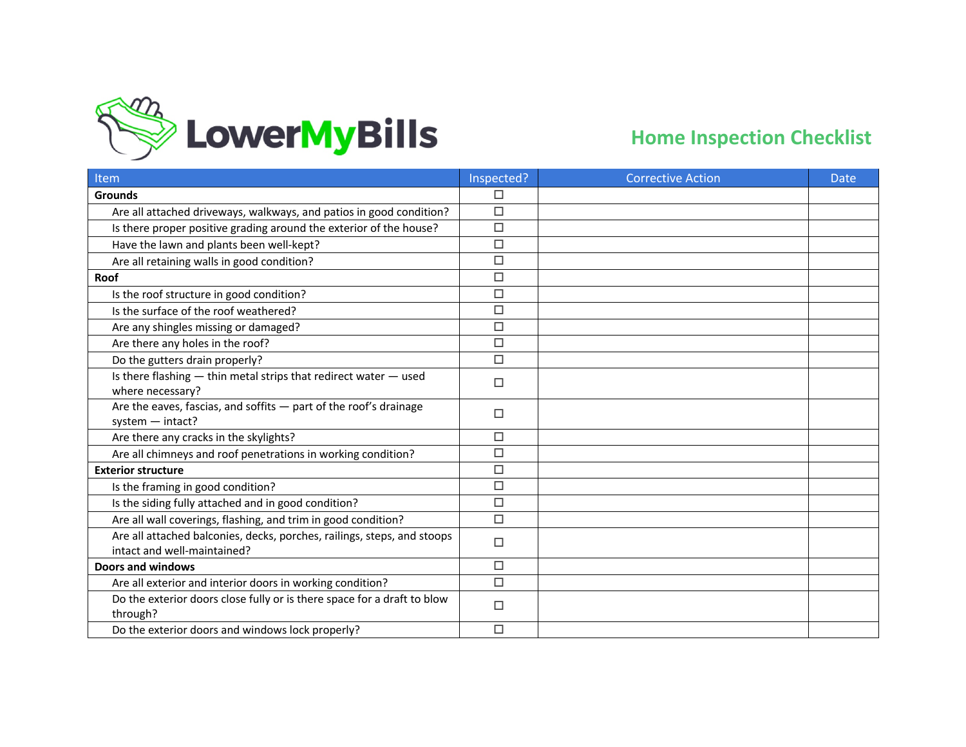

| Item                                                                                                   | Inspected? | <b>Corrective Action</b> | <b>Date</b> |
|--------------------------------------------------------------------------------------------------------|------------|--------------------------|-------------|
| <b>Grounds</b>                                                                                         | □          |                          |             |
| Are all attached driveways, walkways, and patios in good condition?                                    | $\Box$     |                          |             |
| Is there proper positive grading around the exterior of the house?                                     | $\Box$     |                          |             |
| Have the lawn and plants been well-kept?                                                               | $\Box$     |                          |             |
| Are all retaining walls in good condition?                                                             | $\Box$     |                          |             |
| Roof                                                                                                   | □          |                          |             |
| Is the roof structure in good condition?                                                               | $\Box$     |                          |             |
| Is the surface of the roof weathered?                                                                  | $\Box$     |                          |             |
| Are any shingles missing or damaged?                                                                   | $\Box$     |                          |             |
| Are there any holes in the roof?                                                                       | $\Box$     |                          |             |
| Do the gutters drain properly?                                                                         | $\Box$     |                          |             |
| Is there flashing - thin metal strips that redirect water - used<br>where necessary?                   | □          |                          |             |
| Are the eaves, fascias, and soffits - part of the roof's drainage<br>system - intact?                  | □          |                          |             |
| Are there any cracks in the skylights?                                                                 | $\Box$     |                          |             |
| Are all chimneys and roof penetrations in working condition?                                           | □          |                          |             |
| <b>Exterior structure</b>                                                                              | $\Box$     |                          |             |
| Is the framing in good condition?                                                                      | $\Box$     |                          |             |
| Is the siding fully attached and in good condition?                                                    | $\Box$     |                          |             |
| Are all wall coverings, flashing, and trim in good condition?                                          | $\Box$     |                          |             |
| Are all attached balconies, decks, porches, railings, steps, and stoops<br>intact and well-maintained? | □          |                          |             |
| <b>Doors and windows</b>                                                                               | $\Box$     |                          |             |
| Are all exterior and interior doors in working condition?                                              | $\Box$     |                          |             |
| Do the exterior doors close fully or is there space for a draft to blow<br>through?                    | □          |                          |             |
| Do the exterior doors and windows lock properly?                                                       | $\Box$     |                          |             |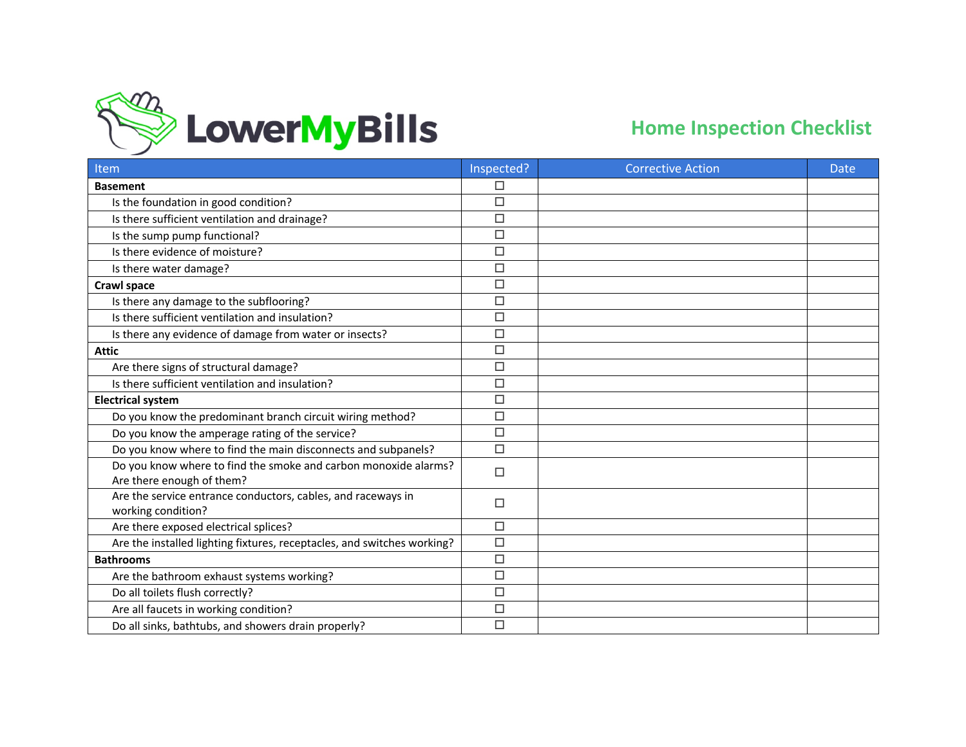

| Item                                                                                         | Inspected? | <b>Corrective Action</b> | <b>Date</b> |
|----------------------------------------------------------------------------------------------|------------|--------------------------|-------------|
| <b>Basement</b>                                                                              | $\Box$     |                          |             |
| Is the foundation in good condition?                                                         | □          |                          |             |
| Is there sufficient ventilation and drainage?                                                | $\Box$     |                          |             |
| Is the sump pump functional?                                                                 | $\Box$     |                          |             |
| Is there evidence of moisture?                                                               | $\Box$     |                          |             |
| Is there water damage?                                                                       | $\Box$     |                          |             |
| <b>Crawl space</b>                                                                           | $\Box$     |                          |             |
| Is there any damage to the subflooring?                                                      | $\Box$     |                          |             |
| Is there sufficient ventilation and insulation?                                              | $\Box$     |                          |             |
| Is there any evidence of damage from water or insects?                                       | $\Box$     |                          |             |
| <b>Attic</b>                                                                                 | $\Box$     |                          |             |
| Are there signs of structural damage?                                                        | $\Box$     |                          |             |
| Is there sufficient ventilation and insulation?                                              | $\Box$     |                          |             |
| <b>Electrical system</b>                                                                     | $\Box$     |                          |             |
| Do you know the predominant branch circuit wiring method?                                    | $\Box$     |                          |             |
| Do you know the amperage rating of the service?                                              | $\Box$     |                          |             |
| Do you know where to find the main disconnects and subpanels?                                | $\Box$     |                          |             |
| Do you know where to find the smoke and carbon monoxide alarms?<br>Are there enough of them? | $\Box$     |                          |             |
| Are the service entrance conductors, cables, and raceways in<br>working condition?           | □          |                          |             |
| Are there exposed electrical splices?                                                        | $\Box$     |                          |             |
| Are the installed lighting fixtures, receptacles, and switches working?                      | $\Box$     |                          |             |
| <b>Bathrooms</b>                                                                             | $\Box$     |                          |             |
| Are the bathroom exhaust systems working?                                                    | $\Box$     |                          |             |
| Do all toilets flush correctly?                                                              | $\Box$     |                          |             |
| Are all faucets in working condition?                                                        | $\Box$     |                          |             |
| Do all sinks, bathtubs, and showers drain properly?                                          | $\Box$     |                          |             |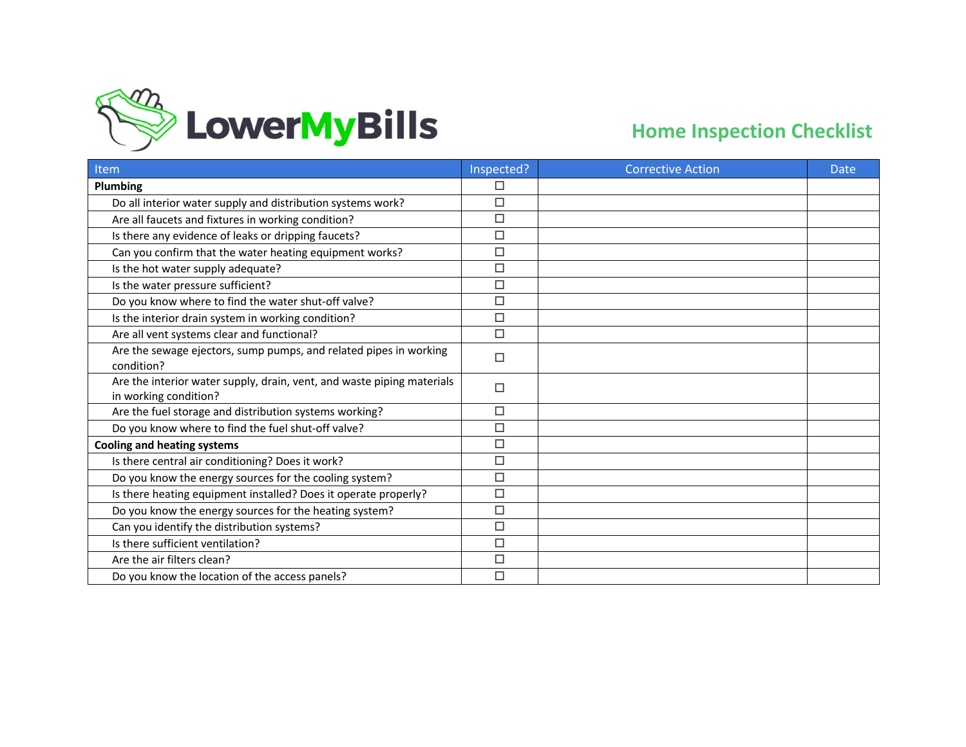

| Item                                                                                            | Inspected? | <b>Corrective Action</b> | <b>Date</b> |
|-------------------------------------------------------------------------------------------------|------------|--------------------------|-------------|
| <b>Plumbing</b>                                                                                 | □          |                          |             |
| Do all interior water supply and distribution systems work?                                     | $\Box$     |                          |             |
| Are all faucets and fixtures in working condition?                                              | $\Box$     |                          |             |
| Is there any evidence of leaks or dripping faucets?                                             | $\Box$     |                          |             |
| Can you confirm that the water heating equipment works?                                         | $\Box$     |                          |             |
| Is the hot water supply adequate?                                                               | $\Box$     |                          |             |
| Is the water pressure sufficient?                                                               | $\Box$     |                          |             |
| Do you know where to find the water shut-off valve?                                             | $\Box$     |                          |             |
| Is the interior drain system in working condition?                                              | $\Box$     |                          |             |
| Are all vent systems clear and functional?                                                      | $\Box$     |                          |             |
| Are the sewage ejectors, sump pumps, and related pipes in working<br>condition?                 | $\Box$     |                          |             |
| Are the interior water supply, drain, vent, and waste piping materials<br>in working condition? | $\Box$     |                          |             |
| Are the fuel storage and distribution systems working?                                          | □          |                          |             |
| Do you know where to find the fuel shut-off valve?                                              | $\Box$     |                          |             |
| <b>Cooling and heating systems</b>                                                              | $\Box$     |                          |             |
| Is there central air conditioning? Does it work?                                                | $\Box$     |                          |             |
| Do you know the energy sources for the cooling system?                                          | $\Box$     |                          |             |
| Is there heating equipment installed? Does it operate properly?                                 | $\Box$     |                          |             |
| Do you know the energy sources for the heating system?                                          | $\Box$     |                          |             |
| Can you identify the distribution systems?                                                      | $\Box$     |                          |             |
| Is there sufficient ventilation?                                                                | $\Box$     |                          |             |
| Are the air filters clean?                                                                      | $\Box$     |                          |             |
| Do you know the location of the access panels?                                                  | $\Box$     |                          |             |